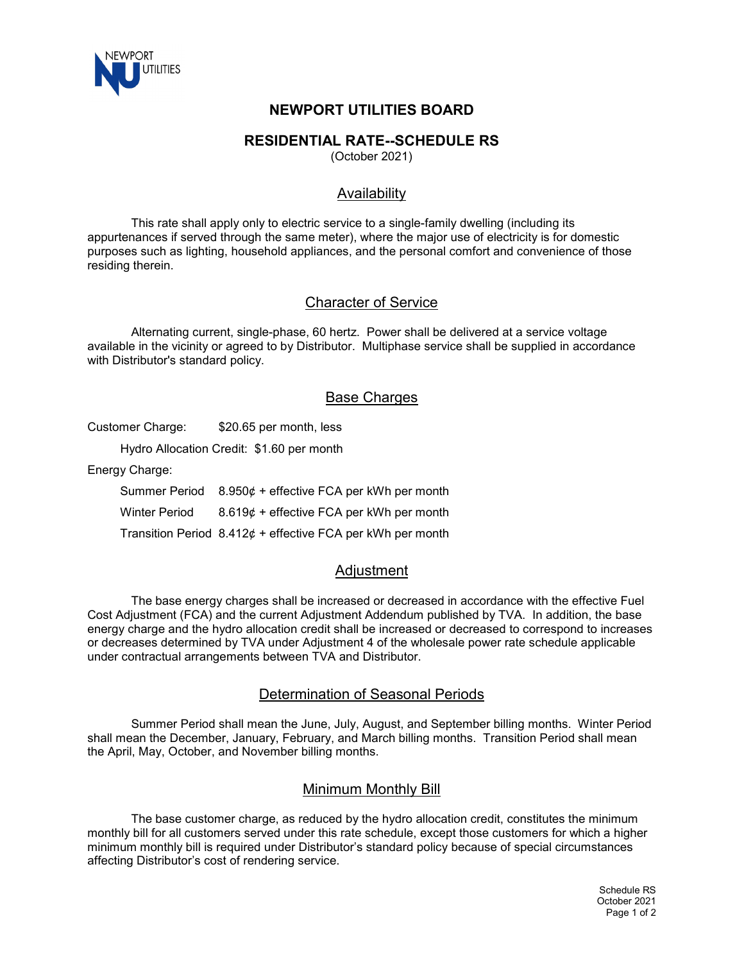

# **NEWPORT UTILITIES BOARD**

### **RESIDENTIAL RATE--SCHEDULE RS**

(October 2021)

## Availability

This rate shall apply only to electric service to a single-family dwelling (including its appurtenances if served through the same meter), where the major use of electricity is for domestic purposes such as lighting, household appliances, and the personal comfort and convenience of those residing therein.

#### Character of Service

Alternating current, single-phase, 60 hertz. Power shall be delivered at a service voltage available in the vicinity or agreed to by Distributor. Multiphase service shall be supplied in accordance with Distributor's standard policy.

### **Base Charges**

Customer Charge: \$20.65 per month, less

Hydro Allocation Credit: \$1.60 per month

Energy Charge:

Summer Period 8.950¢ + effective FCA per kWh per month Winter Period 8.619¢ + effective FCA per kWh per month Transition Period  $8.412¢ +$  effective FCA per kWh per month

## **Adiustment**

The base energy charges shall be increased or decreased in accordance with the effective Fuel Cost Adjustment (FCA) and the current Adjustment Addendum published by TVA. In addition, the base energy charge and the hydro allocation credit shall be increased or decreased to correspond to increases or decreases determined by TVA under Adjustment 4 of the wholesale power rate schedule applicable under contractual arrangements between TVA and Distributor.

#### Determination of Seasonal Periods

Summer Period shall mean the June, July, August, and September billing months. Winter Period shall mean the December, January, February, and March billing months. Transition Period shall mean the April, May, October, and November billing months.

#### Minimum Monthly Bill

The base customer charge, as reduced by the hydro allocation credit, constitutes the minimum monthly bill for all customers served under this rate schedule, except those customers for which a higher minimum monthly bill is required under Distributor's standard policy because of special circumstances affecting Distributor's cost of rendering service.